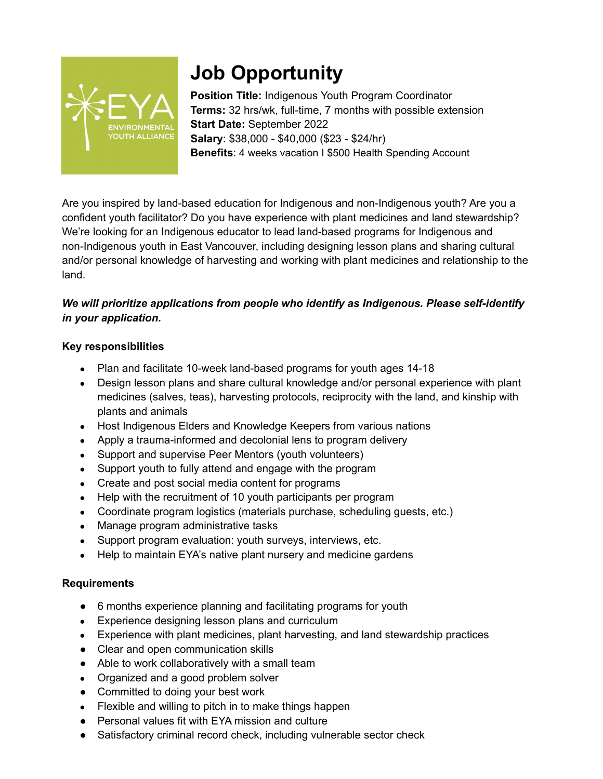

# **Job Opportunity**

**Position Title:** Indigenous Youth Program Coordinator **Terms:** 32 hrs/wk, full-time, 7 months with possible extension **Start Date:** September 2022 **Salary**: \$38,000 - \$40,000 (\$23 - \$24/hr) **Benefits**: 4 weeks vacation I \$500 Health Spending Account

Are you inspired by land-based education for Indigenous and non-Indigenous youth? Are you a confident youth facilitator? Do you have experience with plant medicines and land stewardship? We're looking for an Indigenous educator to lead land-based programs for Indigenous and non-Indigenous youth in East Vancouver, including designing lesson plans and sharing cultural and/or personal knowledge of harvesting and working with plant medicines and relationship to the land.

## *We will prioritize applications from people who identify as Indigenous. Please self-identify in your application.*

## **Key responsibilities**

- Plan and facilitate 10-week land-based programs for youth ages 14-18
- Design lesson plans and share cultural knowledge and/or personal experience with plant medicines (salves, teas), harvesting protocols, reciprocity with the land, and kinship with plants and animals
- Host Indigenous Elders and Knowledge Keepers from various nations
- Apply a trauma-informed and decolonial lens to program delivery
- Support and supervise Peer Mentors (youth volunteers)
- Support youth to fully attend and engage with the program
- Create and post social media content for programs
- Help with the recruitment of 10 youth participants per program
- Coordinate program logistics (materials purchase, scheduling guests, etc.)
- Manage program administrative tasks
- Support program evaluation: youth surveys, interviews, etc.
- Help to maintain EYA's native plant nursery and medicine gardens

## **Requirements**

- 6 months experience planning and facilitating programs for youth
- Experience designing lesson plans and curriculum
- Experience with plant medicines, plant harvesting, and land stewardship practices
- Clear and open communication skills
- Able to work collaboratively with a small team
- Organized and a good problem solver
- Committed to doing your best work
- Flexible and willing to pitch in to make things happen
- Personal values fit with EYA mission and culture
- Satisfactory criminal record check, including vulnerable sector check